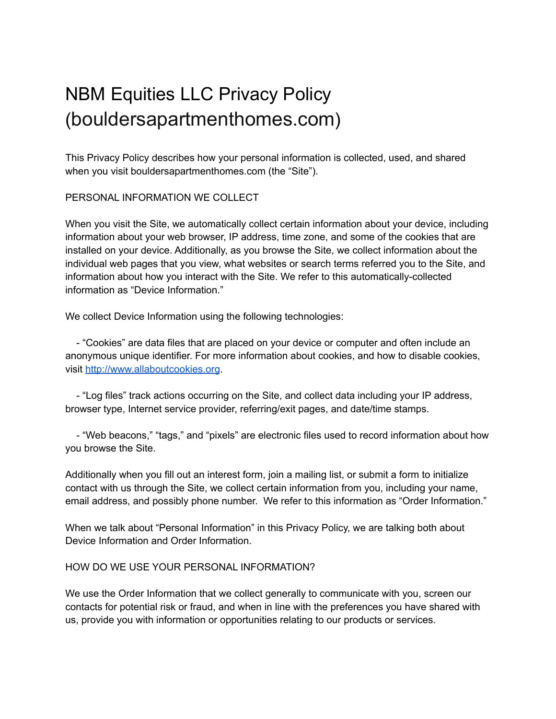# NBM Equities LLC Privacy Policy (bouldersapartmenthomes.com)

This Privacy Policy describes how your personal information is collected, used, and shared when you visit bouldersapartmenthomes.com (the "Site").

PERSONAL INFORMATION WE COLLECT

When you visit the Site, we automatically collect certain information about your device, including information about your web browser, IP address, time zone, and some of the cookies that are installed on your device. Additionally, as you browse the Site, we collect information about the individual web pages that you view, what websites or search terms referred you to the Site, and information about how you interact with the Site. We refer to this automatically-collected information as "Device Information."

We collect Device Information using the following technologies:

- "Cookies" are data files that are placed on your device or computer and often include an anonymous unique identifier. For more information about cookies, and how to disable cookies, visit <http://www.allaboutcookies.org>.

- "Log files" track actions occurring on the Site, and collect data including your IP address, browser type, Internet service provider, referring/exit pages, and date/time stamps.

- "Web beacons," "tags," and "pixels" are electronic files used to record information about how you browse the Site.

Additionally when you fill out an interest form, join a mailing list, or submit a form to initialize contact with us through the Site, we collect certain information from you, including your name, email address, and possibly phone number. We refer to this information as "Order Information."

When we talk about "Personal Information" in this Privacy Policy, we are talking both about Device Information and Order Information.

#### HOW DO WE USE YOUR PERSONAL INFORMATION?

We use the Order Information that we collect generally to communicate with you, screen our contacts for potential risk or fraud, and when in line with the preferences you have shared with us, provide you with information or opportunities relating to our products or services.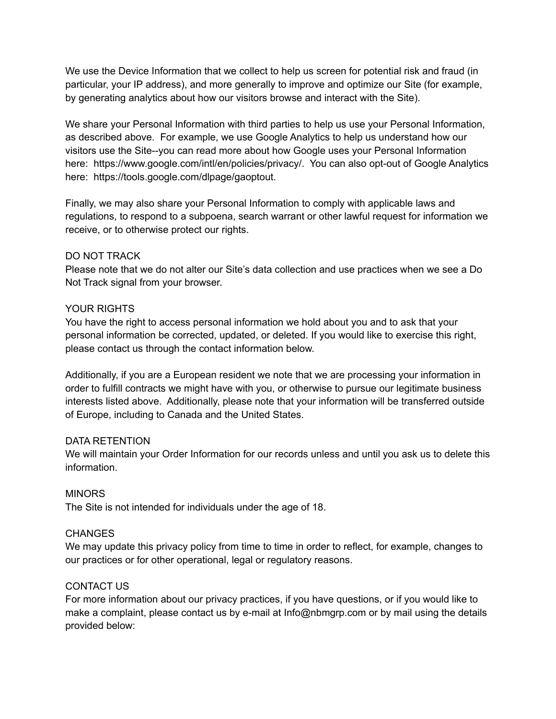We use the Device Information that we collect to help us screen for potential risk and fraud (in particular, your IP address), and more generally to improve and optimize our Site (for example, by generating analytics about how our visitors browse and interact with the Site).

We share your Personal Information with third parties to help us use your Personal Information, as described above. For example, we use Google Analytics to help us understand how our visitors use the Site--you can read more about how Google uses your Personal Information here: https://www.google.com/intl/en/policies/privacy/. You can also opt-out of Google Analytics here: https://tools.google.com/dlpage/gaoptout.

Finally, we may also share your Personal Information to comply with applicable laws and regulations, to respond to a subpoena, search warrant or other lawful request for information we receive, or to otherwise protect our rights.

#### DO NOT TRACK

Please note that we do not alter our Site's data collection and use practices when we see a Do Not Track signal from your browser.

#### YOUR RIGHTS

You have the right to access personal information we hold about you and to ask that your personal information be corrected, updated, or deleted. If you would like to exercise this right, please contact us through the contact information below.

Additionally, if you are a European resident we note that we are processing your information in order to fulfill contracts we might have with you, or otherwise to pursue our legitimate business interests listed above. Additionally, please note that your information will be transferred outside of Europe, including to Canada and the United States.

# DATA RETENTION

We will maintain your Order Information for our records unless and until you ask us to delete this information.

# MINORS

The Site is not intended for individuals under the age of 18.

# **CHANGES**

We may update this privacy policy from time to time in order to reflect, for example, changes to our practices or for other operational, legal or regulatory reasons.

# CONTACT US

For more information about our privacy practices, if you have questions, or if you would like to make a complaint, please contact us by e-mail at Info@nbmgrp.com or by mail using the details provided below: